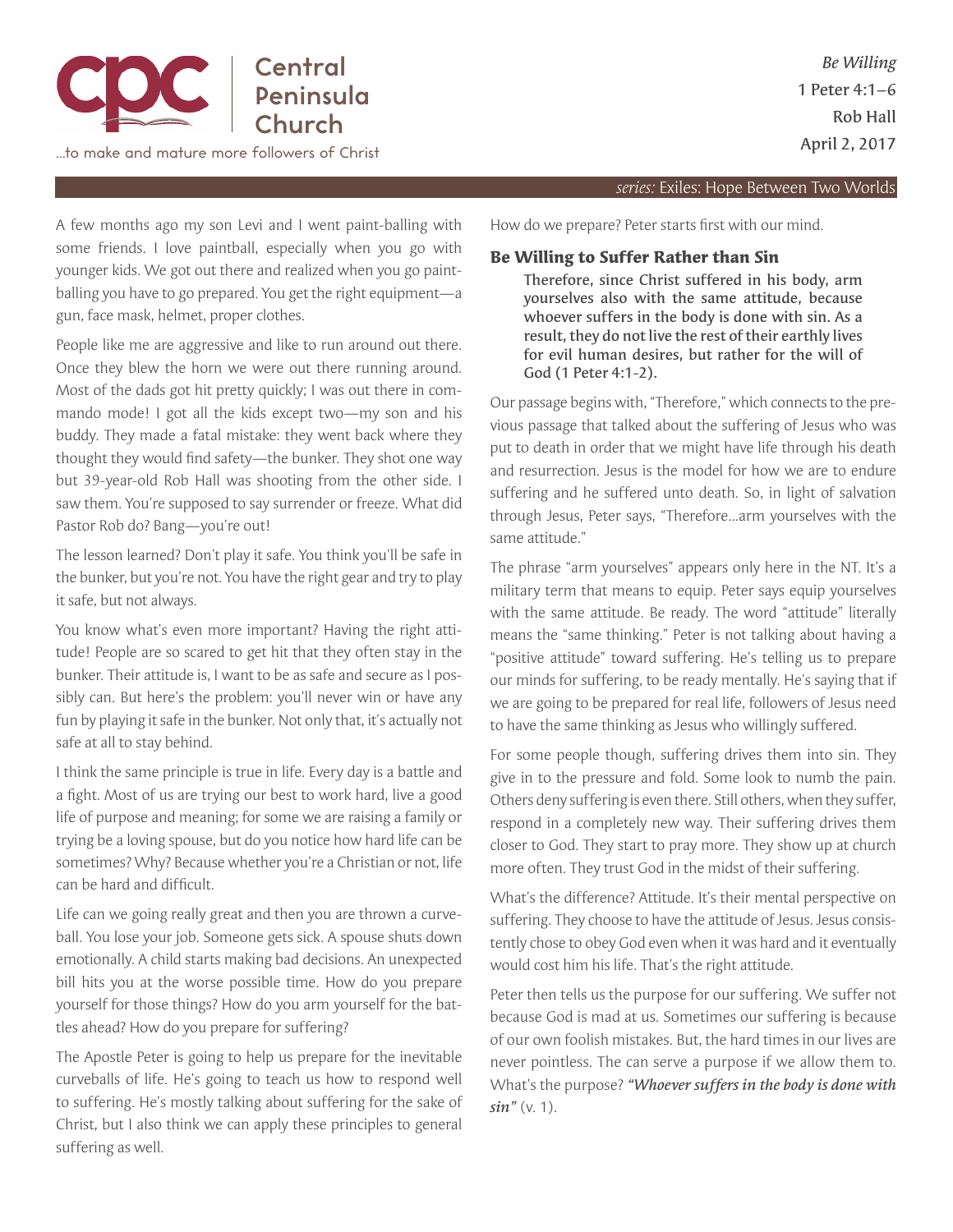

…to make and mature more followers of Christ

## *series:* Exiles: Hope Between Two Worlds

A few months ago my son Levi and I went paint-balling with some friends. I love paintball, especially when you go with younger kids. We got out there and realized when you go paintballing you have to go prepared. You get the right equipment—a gun, face mask, helmet, proper clothes.

People like me are aggressive and like to run around out there. Once they blew the horn we were out there running around. Most of the dads got hit pretty quickly; I was out there in commando mode! I got all the kids except two—my son and his buddy. They made a fatal mistake: they went back where they thought they would fnd safety—the bunker. They shot one way but 39-year-old Rob Hall was shooting from the other side. I saw them. You're supposed to say surrender or freeze. What did Pastor Rob do? Bang—you're out!

The lesson learned? Don't play it safe. You think you'll be safe in the bunker, but you're not. You have the right gear and try to play it safe, but not always.

You know what's even more important? Having the right attitude! People are so scared to get hit that they often stay in the bunker. Their attitude is, I want to be as safe and secure as I possibly can. But here's the problem: you'll never win or have any fun by playing it safe in the bunker. Not only that, it's actually not safe at all to stay behind.

I think the same principle is true in life. Every day is a battle and a fght. Most of us are trying our best to work hard, live a good life of purpose and meaning; for some we are raising a family or trying be a loving spouse, but do you notice how hard life can be sometimes? Why? Because whether you're a Christian or not, life can be hard and diffcult.

Life can we going really great and then you are thrown a curveball. You lose your job. Someone gets sick. A spouse shuts down emotionally. A child starts making bad decisions. An unexpected bill hits you at the worse possible time. How do you prepare yourself for those things? How do you arm yourself for the battles ahead? How do you prepare for suffering?

The Apostle Peter is going to help us prepare for the inevitable curveballs of life. He's going to teach us how to respond well to suffering. He's mostly talking about suffering for the sake of Christ, but I also think we can apply these principles to general suffering as well.

How do we prepare? Peter starts frst with our mind.

## **Be Willing to Suffer Rather than Sin**

Therefore, since Christ suffered in his body, arm yourselves also with the same attitude, because whoever suffers in the body is done with sin. As a result, they do not live the rest of their earthly lives for evil human desires, but rather for the will of God (1 Peter 4:1-2).

Our passage begins with, "Therefore," which connects to the previous passage that talked about the suffering of Jesus who was put to death in order that we might have life through his death and resurrection. Jesus is the model for how we are to endure suffering and he suffered unto death. So, in light of salvation through Jesus, Peter says, "Therefore...arm yourselves with the same attitude."

The phrase "arm yourselves" appears only here in the NT. It's a military term that means to equip. Peter says equip yourselves with the same attitude. Be ready. The word "attitude" literally means the "same thinking." Peter is not talking about having a "positive attitude" toward suffering. He's telling us to prepare our minds for suffering, to be ready mentally. He's saying that if we are going to be prepared for real life, followers of Jesus need to have the same thinking as Jesus who willingly suffered.

For some people though, suffering drives them into sin. They give in to the pressure and fold. Some look to numb the pain. Others deny suffering is even there. Still others, when they suffer, respond in a completely new way. Their suffering drives them closer to God. They start to pray more. They show up at church more often. They trust God in the midst of their suffering.

What's the difference? Attitude. It's their mental perspective on suffering. They choose to have the attitude of Jesus. Jesus consistently chose to obey God even when it was hard and it eventually would cost him his life. That's the right attitude.

Peter then tells us the purpose for our suffering. We suffer not because God is mad at us. Sometimes our suffering is because of our own foolish mistakes. But, the hard times in our lives are never pointless. The can serve a purpose if we allow them to. What's the purpose? *"Whoever suffers in the body is done with sin"* (v. 1).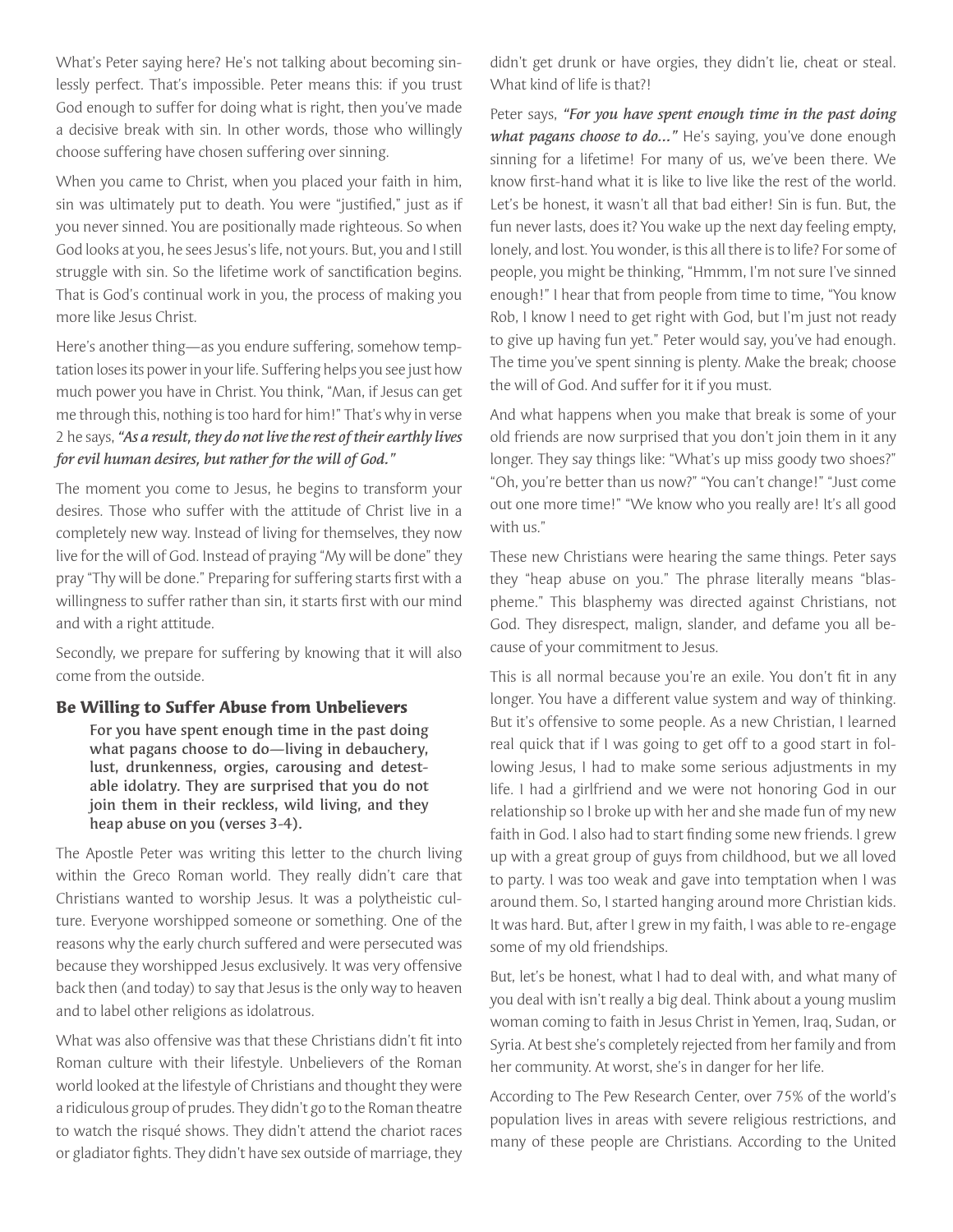What's Peter saying here? He's not talking about becoming sinlessly perfect. That's impossible. Peter means this: if you trust God enough to suffer for doing what is right, then you've made a decisive break with sin. In other words, those who willingly choose suffering have chosen suffering over sinning.

When you came to Christ, when you placed your faith in him, sin was ultimately put to death. You were "justifed," just as if you never sinned. You are positionally made righteous. So when God looks at you, he sees Jesus's life, not yours. But, you and I still struggle with sin. So the lifetime work of sanctifcation begins. That is God's continual work in you, the process of making you more like Jesus Christ.

Here's another thing—as you endure suffering, somehow temptation loses its power in your life. Suffering helps you see just how much power you have in Christ. You think, "Man, if Jesus can get me through this, nothing is too hard for him!" That's why in verse 2 he says, *"As a result, they do not live the rest of their earthly lives for evil human desires, but rather for the will of God."*

The moment you come to Jesus, he begins to transform your desires. Those who suffer with the attitude of Christ live in a completely new way. Instead of living for themselves, they now live for the will of God. Instead of praying "My will be done" they pray "Thy will be done." Preparing for suffering starts frst with a willingness to suffer rather than sin, it starts frst with our mind and with a right attitude.

Secondly, we prepare for suffering by knowing that it will also come from the outside.

## **Be Willing to Suffer Abuse from Unbelievers**

For you have spent enough time in the past doing what pagans choose to do—living in debauchery, lust, drunkenness, orgies, carousing and detestable idolatry. They are surprised that you do not join them in their reckless, wild living, and they heap abuse on you (verses 3-4).

The Apostle Peter was writing this letter to the church living within the Greco Roman world. They really didn't care that Christians wanted to worship Jesus. It was a polytheistic culture. Everyone worshipped someone or something. One of the reasons why the early church suffered and were persecuted was because they worshipped Jesus exclusively. It was very offensive back then (and today) to say that Jesus is the only way to heaven and to label other religions as idolatrous.

What was also offensive was that these Christians didn't fit into Roman culture with their lifestyle. Unbelievers of the Roman world looked at the lifestyle of Christians and thought they were a ridiculous group of prudes. They didn't go to the Roman theatre to watch the risqué shows. They didn't attend the chariot races or gladiator fghts. They didn't have sex outside of marriage, they didn't get drunk or have orgies, they didn't lie, cheat or steal. What kind of life is that?!

Peter says, *"For you have spent enough time in the past doing*  what pagans choose to do..." He's saying, you've done enough sinning for a lifetime! For many of us, we've been there. We know frst-hand what it is like to live like the rest of the world. Let's be honest, it wasn't all that bad either! Sin is fun. But, the fun never lasts, does it? You wake up the next day feeling empty, lonely, and lost. You wonder, is this all there is to life? For some of people, you might be thinking, "Hmmm, I'm not sure I've sinned enough!" I hear that from people from time to time, "You know Rob, I know I need to get right with God, but I'm just not ready to give up having fun yet." Peter would say, you've had enough. The time you've spent sinning is plenty. Make the break; choose the will of God. And suffer for it if you must.

And what happens when you make that break is some of your old friends are now surprised that you don't join them in it any longer. They say things like: "What's up miss goody two shoes?" "Oh, you're better than us now?" "You can't change!" "Just come out one more time!" "We know who you really are! It's all good with us."

These new Christians were hearing the same things. Peter says they "heap abuse on you." The phrase literally means "blaspheme." This blasphemy was directed against Christians, not God. They disrespect, malign, slander, and defame you all because of your commitment to Jesus.

This is all normal because you're an exile. You don't ft in any longer. You have a different value system and way of thinking. But it's offensive to some people. As a new Christian, I learned real quick that if I was going to get off to a good start in following Jesus, I had to make some serious adjustments in my life. I had a girlfriend and we were not honoring God in our relationship so I broke up with her and she made fun of my new faith in God. I also had to start fnding some new friends. I grew up with a great group of guys from childhood, but we all loved to party. I was too weak and gave into temptation when I was around them. So, I started hanging around more Christian kids. It was hard. But, after I grew in my faith, I was able to re-engage some of my old friendships.

But, let's be honest, what I had to deal with, and what many of you deal with isn't really a big deal. Think about a young muslim woman coming to faith in Jesus Christ in Yemen, Iraq, Sudan, or Syria. At best she's completely rejected from her family and from her community. At worst, she's in danger for her life.

According to The Pew Research Center, over 75% of the world's population lives in areas with severe religious restrictions, and many of these people are Christians. According to the United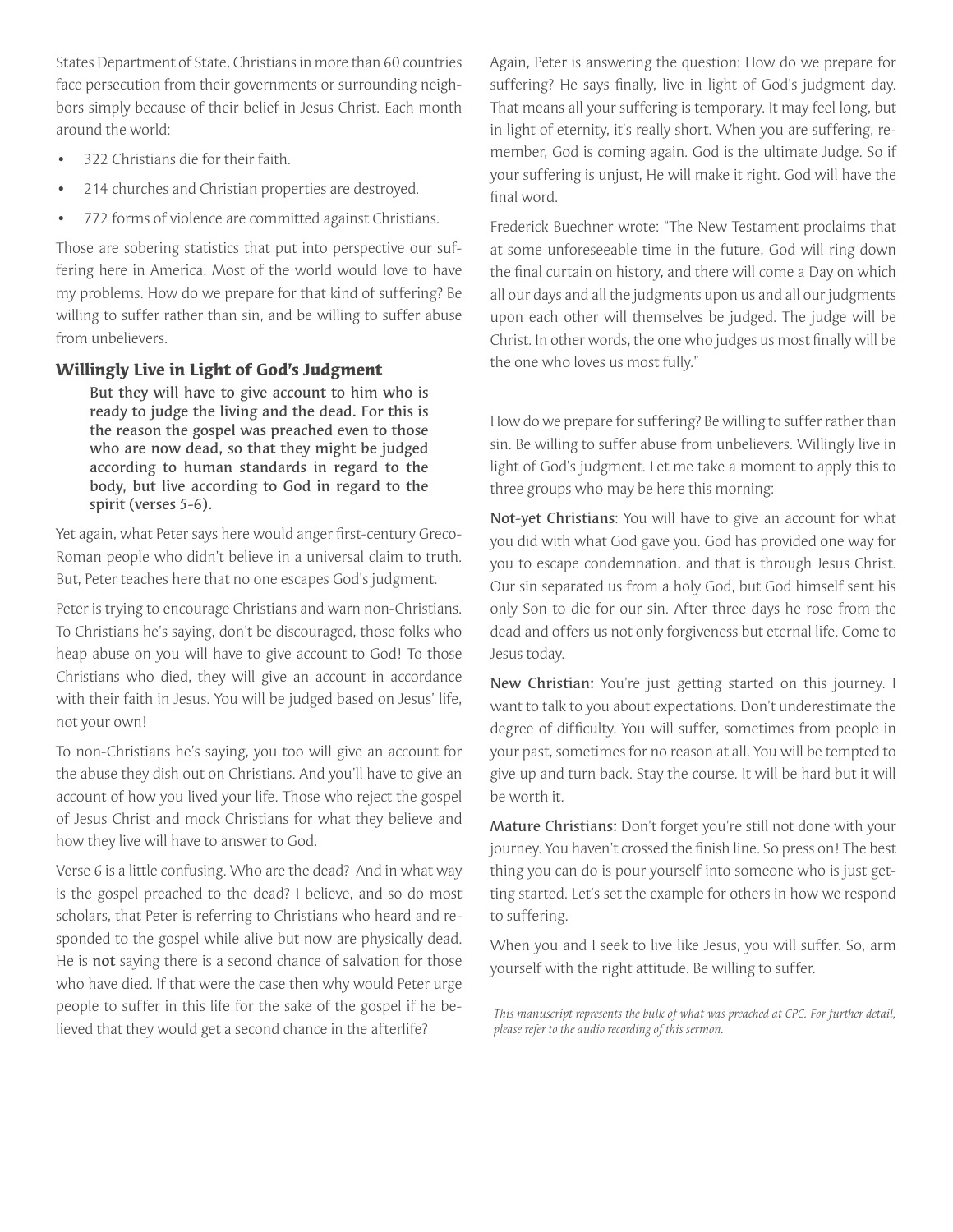States Department of State, Christians in more than 60 countries face persecution from their governments or surrounding neighbors simply because of their belief in Jesus Christ. Each month around the world:

- 322 Christians die for their faith.
- 214 churches and Christian properties are destroyed.
- 772 forms of violence are committed against Christians.

Those are sobering statistics that put into perspective our suffering here in America. Most of the world would love to have my problems. How do we prepare for that kind of suffering? Be willing to suffer rather than sin, and be willing to suffer abuse from unbelievers.

## **Willingly Live in Light of God's Judgment**

But they will have to give account to him who is ready to judge the living and the dead. For this is the reason the gospel was preached even to those who are now dead, so that they might be judged according to human standards in regard to the body, but live according to God in regard to the spirit (verses 5-6).

Yet again, what Peter says here would anger first-century Greco-Roman people who didn't believe in a universal claim to truth. But, Peter teaches here that no one escapes God's judgment.

Peter is trying to encourage Christians and warn non-Christians. To Christians he's saying, don't be discouraged, those folks who heap abuse on you will have to give account to God! To those Christians who died, they will give an account in accordance with their faith in Jesus. You will be judged based on Jesus' life, not your own!

To non-Christians he's saying, you too will give an account for the abuse they dish out on Christians. And you'll have to give an account of how you lived your life. Those who reject the gospel of Jesus Christ and mock Christians for what they believe and how they live will have to answer to God.

Verse 6 is a little confusing. Who are the dead? And in what way is the gospel preached to the dead? I believe, and so do most scholars, that Peter is referring to Christians who heard and responded to the gospel while alive but now are physically dead. He is not saying there is a second chance of salvation for those who have died. If that were the case then why would Peter urge people to suffer in this life for the sake of the gospel if he believed that they would get a second chance in the afterlife?

Again, Peter is answering the question: How do we prepare for suffering? He says fnally, live in light of God's judgment day. That means all your suffering is temporary. It may feel long, but in light of eternity, it's really short. When you are suffering, remember, God is coming again. God is the ultimate Judge. So if your suffering is unjust, He will make it right. God will have the final word.

Frederick Buechner wrote: "The New Testament proclaims that at some unforeseeable time in the future, God will ring down the fnal curtain on history, and there will come a Day on which all our days and all the judgments upon us and all our judgments upon each other will themselves be judged. The judge will be Christ. In other words, the one who judges us most fnally will be the one who loves us most fully."

How do we prepare for suffering? Be willing to suffer rather than sin. Be willing to suffer abuse from unbelievers. Willingly live in light of God's judgment. Let me take a moment to apply this to three groups who may be here this morning:

Not-yet Christians: You will have to give an account for what you did with what God gave you. God has provided one way for you to escape condemnation, and that is through Jesus Christ. Our sin separated us from a holy God, but God himself sent his only Son to die for our sin. After three days he rose from the dead and offers us not only forgiveness but eternal life. Come to Jesus today.

New Christian: You're just getting started on this journey. I want to talk to you about expectations. Don't underestimate the degree of diffculty. You will suffer, sometimes from people in your past, sometimes for no reason at all. You will be tempted to give up and turn back. Stay the course. It will be hard but it will be worth it.

Mature Christians: Don't forget you're still not done with your journey. You haven't crossed the finish line. So press on! The best thing you can do is pour yourself into someone who is just getting started. Let's set the example for others in how we respond to suffering.

When you and I seek to live like Jesus, you will suffer. So, arm yourself with the right attitude. Be willing to suffer.

*This manuscript represents the bulk of what was preached at CPC. For further detail, please refer to the audio recording of this sermon.*